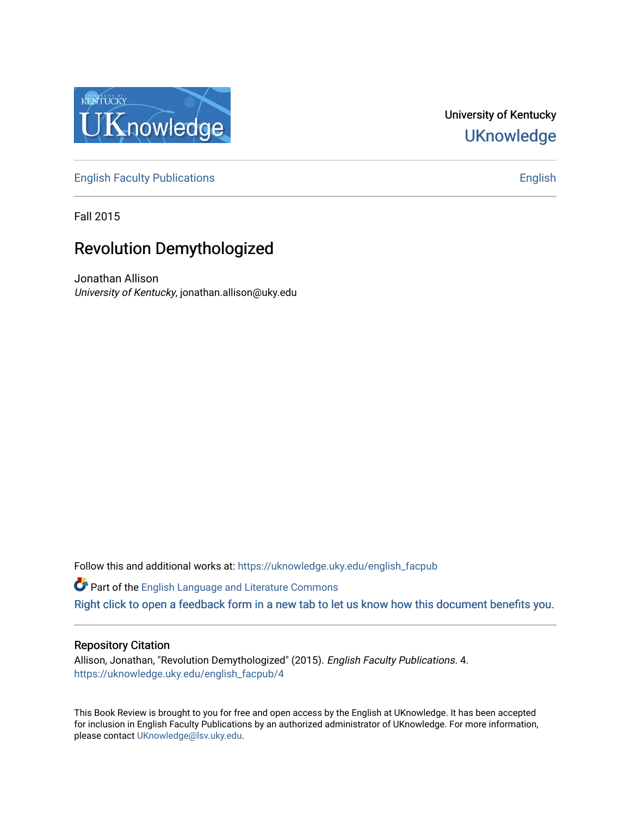

# University of Kentucky **UKnowledge**

[English Faculty Publications](https://uknowledge.uky.edu/english_facpub) **English** English

Fall 2015

# Revolution Demythologized

Jonathan Allison University of Kentucky, jonathan.allison@uky.edu

Follow this and additional works at: [https://uknowledge.uky.edu/english\\_facpub](https://uknowledge.uky.edu/english_facpub?utm_source=uknowledge.uky.edu%2Fenglish_facpub%2F4&utm_medium=PDF&utm_campaign=PDFCoverPages) 

Part of the [English Language and Literature Commons](http://network.bepress.com/hgg/discipline/455?utm_source=uknowledge.uky.edu%2Fenglish_facpub%2F4&utm_medium=PDF&utm_campaign=PDFCoverPages) [Right click to open a feedback form in a new tab to let us know how this document benefits you.](https://uky.az1.qualtrics.com/jfe/form/SV_9mq8fx2GnONRfz7)

### Repository Citation

Allison, Jonathan, "Revolution Demythologized" (2015). English Faculty Publications. 4. [https://uknowledge.uky.edu/english\\_facpub/4](https://uknowledge.uky.edu/english_facpub/4?utm_source=uknowledge.uky.edu%2Fenglish_facpub%2F4&utm_medium=PDF&utm_campaign=PDFCoverPages) 

This Book Review is brought to you for free and open access by the English at UKnowledge. It has been accepted for inclusion in English Faculty Publications by an authorized administrator of UKnowledge. For more information, please contact [UKnowledge@lsv.uky.edu.](mailto:UKnowledge@lsv.uky.edu)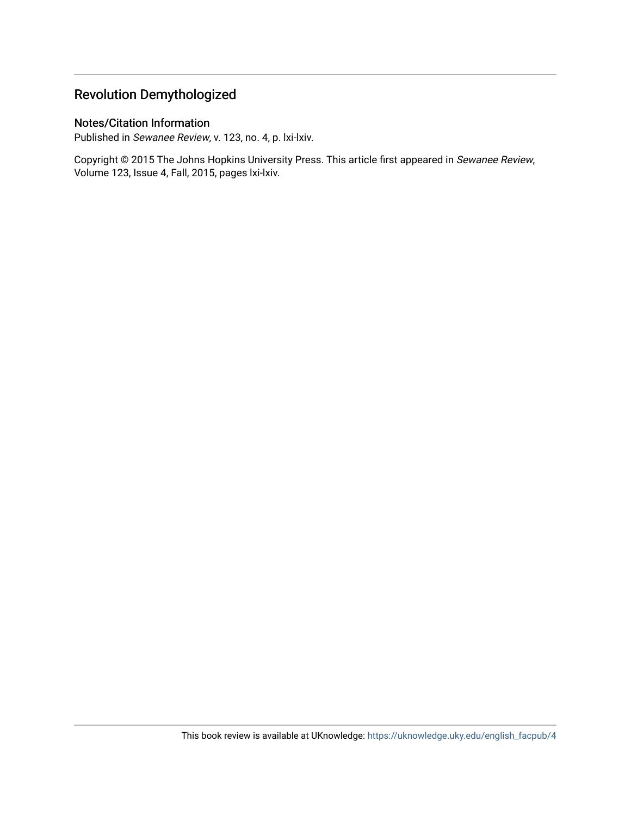## Revolution Demythologized

## Notes/Citation Information

Published in Sewanee Review, v. 123, no. 4, p. lxi-lxiv.

Copyright © 2015 The Johns Hopkins University Press. This article first appeared in Sewanee Review, Volume 123, Issue 4, Fall, 2015, pages lxi-lxiv.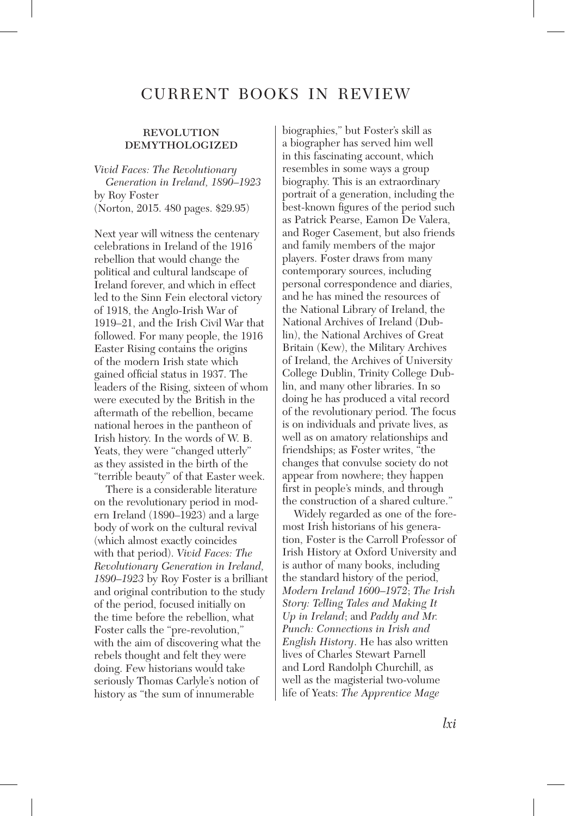## CURRENT BOOKS IN REVIEW

#### **REVOLUTION** demythologized

*Vivid Faces: The Revolutionary Generation in Ireland, 1890–1923*  by Roy Foster (Norton, 2015. 480 pages. \$29.95)

Next year will witness the centenary celebrations in Ireland of the 1916 rebellion that would change the political and cultural landscape of Ireland forever, and which in effect led to the Sinn Fein electoral victory of 1918, the Anglo-Irish War of 1919–21, and the Irish Civil War that followed. For many people, the 1916 Easter Rising contains the origins of the modern Irish state which gained official status in 1937. The leaders of the Rising, sixteen of whom were executed by the British in the aftermath of the rebellion, became national heroes in the pantheon of Irish history. In the words of W. B. Yeats, they were "changed utterly" as they assisted in the birth of the "terrible beauty" of that Easter week.

There is a considerable literature on the revolutionary period in modern Ireland (1890–1923) and a large body of work on the cultural revival (which almost exactly coincides with that period). *Vivid Faces: The Revolutionary Generation in Ireland, 1890–1923* by Roy Foster is a brilliant and original contribution to the study of the period, focused initially on the time before the rebellion, what Foster calls the "pre-revolution," with the aim of discovering what the rebels thought and felt they were doing. Few historians would take seriously Thomas Carlyle's notion of history as "the sum of innumerable

biographies," but Foster's skill as a biographer has served him well in this fascinating account, which resembles in some ways a group biography. This is an extraordinary portrait of a generation, including the best-known figures of the period such as Patrick Pearse, Eamon De Valera, and Roger Casement, but also friends and family members of the major players. Foster draws from many contemporary sources, including personal correspondence and diaries, and he has mined the resources of the National Library of Ireland, the National Archives of Ireland (Dublin), the National Archives of Great Britain (Kew), the Military Archives of Ireland, the Archives of University College Dublin, Trinity College Dublin, and many other libraries. In so doing he has produced a vital record of the revolutionary period. The focus is on individuals and private lives, as well as on amatory relationships and friendships; as Foster writes, "the changes that convulse society do not appear from nowhere; they happen first in people's minds, and through the construction of a shared culture."

Widely regarded as one of the foremost Irish historians of his generation, Foster is the Carroll Professor of Irish History at Oxford University and is author of many books, including the standard history of the period, *Modern Ireland 1600–1972*; *The Irish Story: Telling Tales and Making It Up in Ireland*; and *Paddy and Mr. Punch: Connections in Irish and English History*. He has also written lives of Charles Stewart Parnell and Lord Randolph Churchill, as well as the magisterial two-volume life of Yeats: *The Apprentice Mage*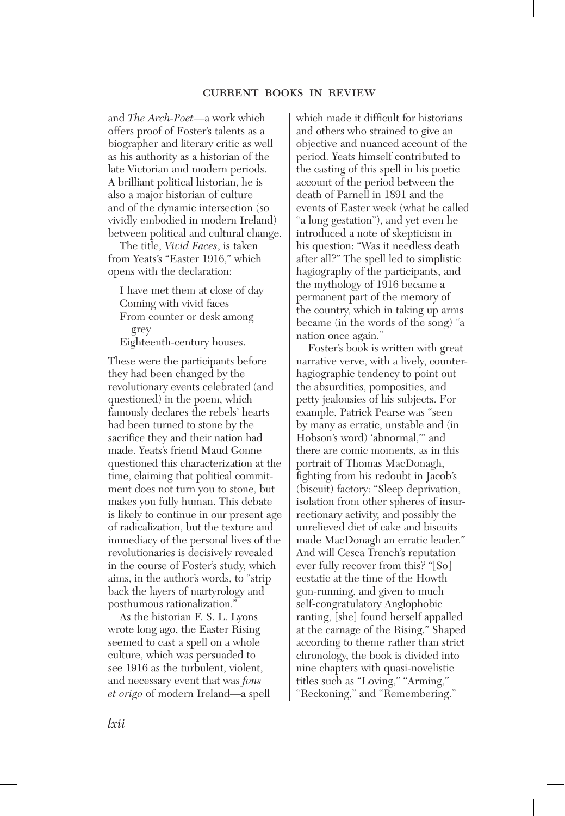and *The Arch-Poet*—a work which offers proof of Foster's talents as a biographer and literary critic as well as his authority as a historian of the late Victorian and modern periods. A brilliant political historian, he is also a major historian of culture and of the dynamic intersection (so vividly embodied in modern Ireland) between political and cultural change.

The title, *Vivid Faces*, is taken from Yeats's "Easter 1916," which opens with the declaration:

I have met them at close of day Coming with vivid faces From counter or desk among grey

Eighteenth-century houses.

These were the participants before they had been changed by the revolutionary events celebrated (and questioned) in the poem, which famously declares the rebels' hearts had been turned to stone by the sacrifice they and their nation had made. Yeats's friend Maud Gonne questioned this characterization at the time, claiming that political commitment does not turn you to stone, but makes you fully human. This debate is likely to continue in our present age of radicalization, but the texture and immediacy of the personal lives of the revolutionaries is decisively revealed in the course of Foster's study, which aims, in the author's words, to "strip back the layers of martyrology and posthumous rationalization."

As the historian F. S. L. Lyons wrote long ago, the Easter Rising seemed to cast a spell on a whole culture, which was persuaded to see 1916 as the turbulent, violent, and necessary event that was *fons et origo* of modern Ireland—a spell which made it difficult for historians and others who strained to give an objective and nuanced account of the period. Yeats himself contributed to the casting of this spell in his poetic account of the period between the death of Parnell in 1891 and the events of Easter week (what he called "a long gestation"), and yet even he introduced a note of skepticism in his question: "Was it needless death after all?" The spell led to simplistic hagiography of the participants, and the mythology of 1916 became a permanent part of the memory of the country, which in taking up arms became (in the words of the song) "a nation once again."

Foster's book is written with great narrative verve, with a lively, counterhagiographic tendency to point out the absurdities, pomposities, and petty jealousies of his subjects. For example, Patrick Pearse was "seen by many as erratic, unstable and (in Hobson's word) 'abnormal,'" and there are comic moments, as in this portrait of Thomas MacDonagh, fighting from his redoubt in Jacob's (biscuit) factory: "Sleep deprivation, isolation from other spheres of insurrectionary activity, and possibly the unrelieved diet of cake and biscuits made MacDonagh an erratic leader." And will Cesca Trench's reputation ever fully recover from this? "[So] ecstatic at the time of the Howth gun-running, and given to much self-congratulatory Anglophobic ranting, [she] found herself appalled at the carnage of the Rising." Shaped according to theme rather than strict chronology, the book is divided into nine chapters with quasi-novelistic titles such as "Loving," "Arming," "Reckoning," and "Remembering."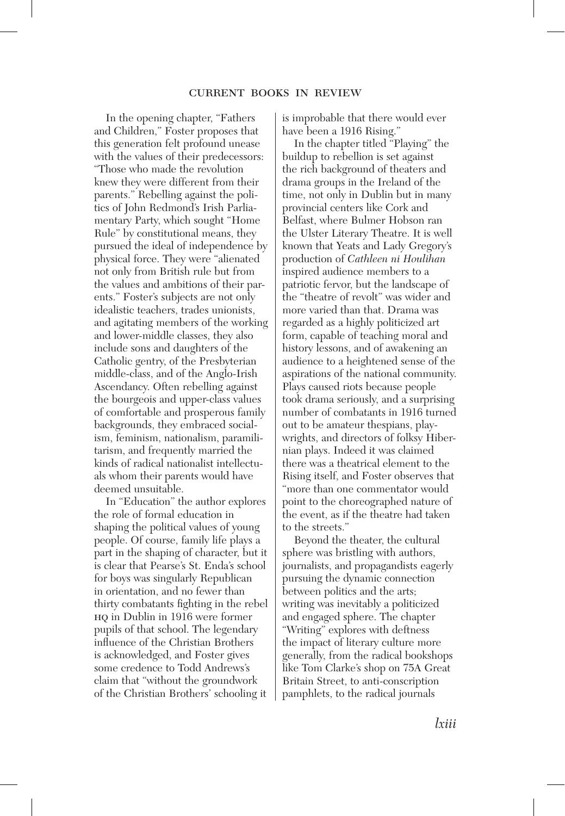In the opening chapter, "Fathers and Children," Foster proposes that this generation felt profound unease with the values of their predecessors: "Those who made the revolution knew they were different from their parents." Rebelling against the politics of John Redmond's Irish Parliamentary Party, which sought "Home Rule" by constitutional means, they pursued the ideal of independence by physical force. They were "alienated not only from British rule but from the values and ambitions of their parents." Foster's subjects are not only idealistic teachers, trades unionists, and agitating members of the working and lower-middle classes, they also include sons and daughters of the Catholic gentry, of the Presbyterian middle-class, and of the Anglo-Irish Ascendancy. Often rebelling against the bourgeois and upper-class values of comfortable and prosperous family backgrounds, they embraced socialism, feminism, nationalism, paramilitarism, and frequently married the kinds of radical nationalist intellectuals whom their parents would have deemed unsuitable.

In "Education" the author explores the role of formal education in shaping the political values of young people. Of course, family life plays a part in the shaping of character, but it is clear that Pearse's St. Enda's school for boys was singularly Republican in orientation, and no fewer than thirty combatants fighting in the rebel hq in Dublin in 1916 were former pupils of that school. The legendary influence of the Christian Brothers is acknowledged, and Foster gives some credence to Todd Andrews's claim that "without the groundwork of the Christian Brothers' schooling it

is improbable that there would ever have been a 1916 Rising."

In the chapter titled "Playing" the buildup to rebellion is set against the rich background of theaters and drama groups in the Ireland of the time, not only in Dublin but in many provincial centers like Cork and Belfast, where Bulmer Hobson ran the Ulster Literary Theatre. It is well known that Yeats and Lady Gregory's production of *Cathleen ni Houlihan* inspired audience members to a patriotic fervor, but the landscape of the "theatre of revolt" was wider and more varied than that. Drama was regarded as a highly politicized art form, capable of teaching moral and history lessons, and of awakening an audience to a heightened sense of the aspirations of the national community. Plays caused riots because people took drama seriously, and a surprising number of combatants in 1916 turned out to be amateur thespians, playwrights, and directors of folksy Hibernian plays. Indeed it was claimed there was a theatrical element to the Rising itself, and Foster observes that "more than one commentator would point to the choreographed nature of the event, as if the theatre had taken to the streets."

Beyond the theater, the cultural sphere was bristling with authors, journalists, and propagandists eagerly pursuing the dynamic connection between politics and the arts; writing was inevitably a politicized and engaged sphere. The chapter "Writing" explores with deftness the impact of literary culture more generally, from the radical bookshops like Tom Clarke's shop on 75A Great Britain Street, to anti-conscription pamphlets, to the radical journals